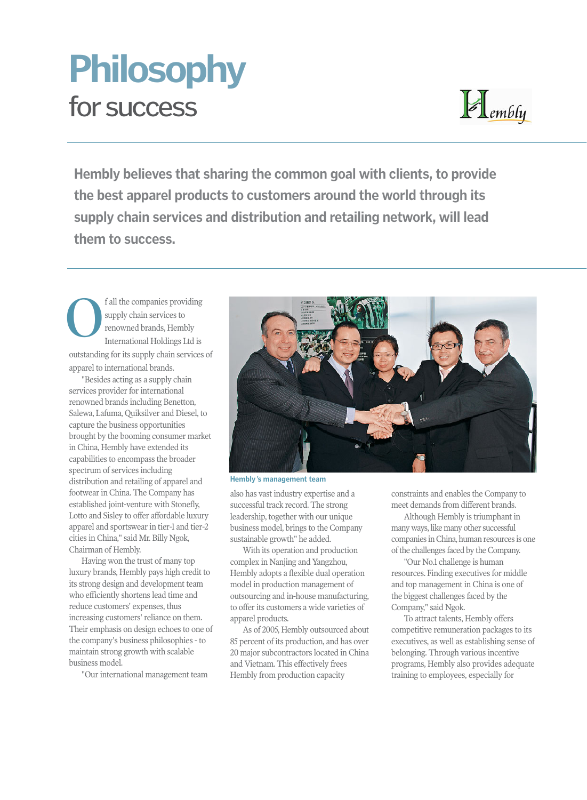## for success **Philosophy**



**Hembly believes that sharing the common goal with clients, to provide the best apparel products to customers around the world through its supply chain services and distribution and retailing network, will lead them to success.**

f all the companies providing supply chain services to renowned brands, Hembly International Holdings Ltd is outstanding for its supply chain services of apparel to international brands. **O**

"Besides acting as a supply chain services provider for international renowned brands including Benetton, Salewa, Lafuma, Quiksilver and Diesel, to capture the business opportunities brought by the booming consumer market in China, Hembly have extended its capabilities to encompass the broader spectrum of services including distribution and retailing of apparel and footwear in China. The Company has established joint-venture with Stonefly, Lotto and Sisley to offer affordable luxury apparel and sportswear in tier-1 and tier-2 cities in China," said Mr. Billy Ngok, Chairman of Hembly.

Having won the trust of many top luxury brands, Hembly pays high credit to its strong design and development team who efficiently shortens lead time and reduce customers' expenses, thus increasing customers' reliance on them. Their emphasis on design echoes to one of the company's business philosophies - to maintain strong growth with scalable business model.

"Our international management team



**Hembly**'**s management team**

also has vast industry expertise and a successful track record. The strong leadership, together with our unique business model, brings to the Company sustainable growth" he added.

With its operation and production complex in Nanjing and Yangzhou, Hembly adopts a flexible dual operation model in production management of outsourcing and in-house manufacturing, to offer its customers a wide varieties of apparel products.

As of 2005, Hembly outsourced about 85 percent of its production, and has over 20 major subcontractors located in China and Vietnam. This effectively frees Hembly from production capacity

constraints and enables the Company to meet demands from different brands.

Although Hembly is triumphant in many ways, like many other successful companies in China, human resources is one of the challenges faced by the Company.

"Our No.1 challenge is human resources. Finding executives for middle and top management in China is one of the biggest challenges faced by the Company," said Ngok.

To attract talents, Hembly offers competitive remuneration packages to its executives, as well as establishing sense of belonging. Through various incentive programs, Hembly also provides adequate training to employees, especially for